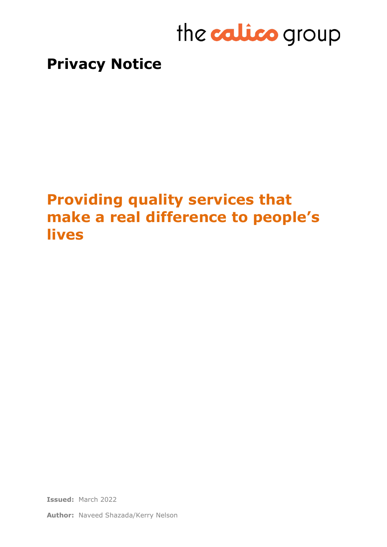# the **calico** group

### **Privacy Notice**

## **Providing quality services that make a real difference to people's lives**

**Issued:** March 2022

**Author:** Naveed Shazada/Kerry Nelson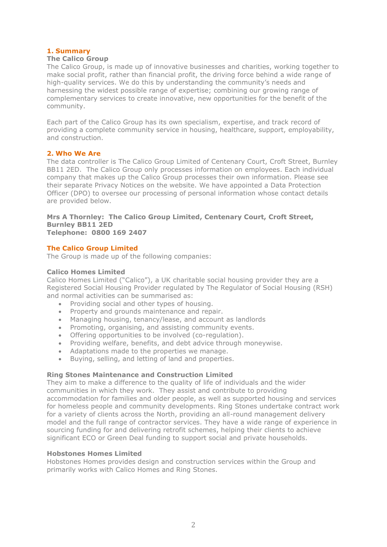#### **1. Summary**

#### **The Calico Group**

The Calico Group, is made up of innovative businesses and charities, working together to make social profit, rather than financial profit, the driving force behind a wide range of high-quality services. We do this by understanding the community's needs and harnessing the widest possible range of expertise; combining our growing range of complementary services to create innovative, new opportunities for the benefit of the community.

Each part of the Calico Group has its own specialism, expertise, and track record of providing a complete community service in housing, healthcare, support, employability, and construction.

#### **2. Who We Are**

The data controller is The Calico Group Limited of Centenary Court, Croft Street, Burnley BB11 2ED. The Calico Group only processes information on employees. Each individual company that makes up the Calico Group processes their own information. Please see their separate Privacy Notices on the website. We have appointed a Data Protection Officer (DPO) to oversee our processing of personal information whose contact details are provided below.

### **Mrs A Thornley: The Calico Group Limited, Centenary Court, Croft Street, Burnley BB11 2ED**

**Telephone: 0800 169 2407**

#### **The Calico Group Limited**

The Group is made up of the following companies:

#### **Calico Homes Limited**

Calico Homes Limited ("Calico"), a UK charitable social housing provider they are a Registered Social Housing Provider regulated by The Regulator of Social Housing (RSH) and normal activities can be summarised as:

- Providing social and other types of housing.
- Property and grounds maintenance and repair.
- Managing housing, tenancy/lease, and account as landlords
- Promoting, organising, and assisting community events.
- Offering opportunities to be involved (co-regulation).
- Providing welfare, benefits, and debt advice through moneywise.
- Adaptations made to the properties we manage.
- Buying, selling, and letting of land and properties.

#### **Ring Stones Maintenance and Construction Limited**

They aim to make a difference to the quality of life of individuals and the wider communities in which they work. They assist and contribute to providing accommodation for families and older people, as well as supported housing and services for homeless people and community developments. Ring Stones undertake contract work for a variety of clients across the North, providing an all-round management delivery model and the full range of contractor services. They have a wide range of experience in sourcing funding for and delivering retrofit schemes, helping their clients to achieve significant ECO or Green Deal funding to support social and private households.

#### **Hobstones Homes Limited**

Hobstones Homes provides design and construction services within the Group and primarily works with Calico Homes and Ring Stones.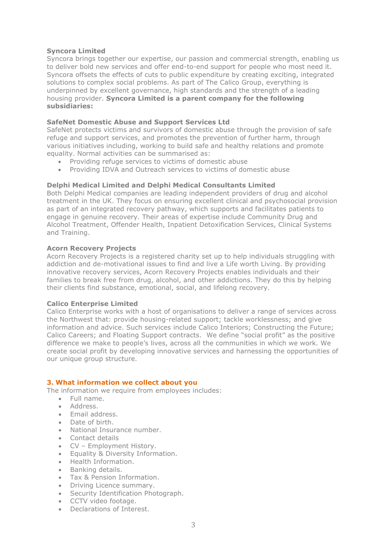#### **Syncora Limited**

Syncora brings together our expertise, our passion and commercial strength, enabling us to deliver bold new services and offer end-to-end support for people who most need it. Syncora offsets the effects of cuts to public expenditure by creating exciting, integrated solutions to complex social problems. As part of The Calico Group, everything is underpinned by excellent governance, high standards and the strength of a leading housing provider. **Syncora Limited is a parent company for the following subsidiaries:**

#### **SafeNet Domestic Abuse and Support Services Ltd**

SafeNet protects victims and survivors of domestic abuse through the provision of safe refuge and support services, and promotes the prevention of further harm, through various initiatives including, working to build safe and healthy relations and promote equality. Normal activities can be summarised as:

- Providing refuge services to victims of domestic abuse
- Providing IDVA and Outreach services to victims of domestic abuse

#### **Delphi Medical Limited and Delphi Medical Consultants Limited**

Both Delphi Medical companies are leading independent providers of drug and alcohol treatment in the UK. They focus on ensuring excellent clinical and psychosocial provision as part of an integrated recovery pathway, which supports and facilitates patients to engage in genuine recovery. Their areas of expertise include Community Drug and Alcohol Treatment, Offender Health, Inpatient Detoxification Services, Clinical Systems and Training.

#### **Acorn Recovery Projects**

Acorn Recovery Projects is a registered charity set up to help individuals struggling with addiction and de-motivational issues to find and live a Life worth Living. By providing innovative recovery services, Acorn Recovery Projects enables individuals and their families to break free from drug, alcohol, and other addictions. They do this by helping their clients find substance, emotional, social, and lifelong recovery.

#### **Calico Enterprise Limited**

Calico Enterprise works with a host of organisations to deliver a range of services across the Northwest that: provide housing-related support; tackle worklessness; and give information and advice. Such services include Calico Interiors; Constructing the Future; Calico Careers; and Floating Support contracts. We define "social profit" as the positive difference we make to people's lives, across all the communities in which we work. We create social profit by developing innovative services and harnessing the opportunities of our unique group structure.

#### **3. What information we collect about you**

The information we require from employees includes:

- Full name.
- Address.
- Email address.
- Date of birth.
- National Insurance number.
- Contact details
- CV Employment History.
- Equality & Diversity Information.
- Health Information.
- Banking details.
- Tax & Pension Information.
- Driving Licence summary.
- Security Identification Photograph.
- CCTV video footage.
- Declarations of Interest.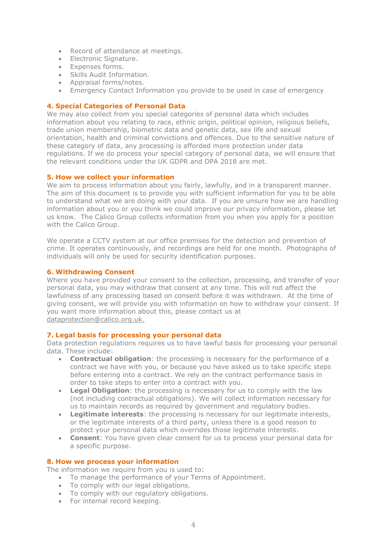- Record of attendance at meetings.
- Electronic Signature.
- Expenses forms.
- Skills Audit Information.
- Appraisal forms/notes.
- Emergency Contact Information you provide to be used in case of emergency

#### **4. Special Categories of Personal Data**

We may also collect from you special categories of personal data which includes information about you relating to race, ethnic origin, political opinion, religious beliefs, trade union membership, biometric data and genetic data, sex life and sexual orientation, health and criminal convictions and offences. Due to the sensitive nature of these category of data, any processing is afforded more protection under data regulations. If we do process your special category of personal data, we will ensure that the relevant conditions under the UK GDPR and DPA 2018 are met.

#### **5. How we collect your information**

We aim to process information about you fairly, lawfully, and in a transparent manner. The aim of this document is to provide you with sufficient information for you to be able to understand what we are doing with your data. If you are unsure how we are handling information about you or you think we could improve our privacy information, please let us know. The Calico Group collects information from you when you apply for a position with the Calico Group.

We operate a CCTV system at our office premises for the detection and prevention of crime. It operates continuously, and recordings are held for one month. Photographs of individuals will only be used for security identification purposes.

#### **6. Withdrawing Consent**

Where you have provided your consent to the collection, processing, and transfer of your personal data, you may withdraw that consent at any time. This will not affect the lawfulness of any processing based on consent before it was withdrawn. At the time of giving consent, we will provide you with information on how to withdraw your consent. If you want more information about this, please contact us at [dataprotection@calico.org.uk.](mailto:dataprotection@calico.org.uk)

#### **7. Legal basis for processing your personal data**

Data protection regulations requires us to have lawful basis for processing your personal data. These include:

- **Contractual obligation**: the processing is necessary for the performance of a contract we have with you, or because you have asked us to take specific steps before entering into a contract. We rely on the contract performance basis in order to take steps to enter into a contract with you.
- **Legal Obligation**: the processing is necessary for us to comply with the law (not including contractual obligations). We will collect information necessary for us to maintain records as required by government and regulatory bodies.
- **Legitimate interests:** the processing is necessary for our legitimate interests, or the legitimate interests of a third party, unless there is a good reason to protect your personal data which overrides those legitimate interests.
- **Consent**: You have given clear consent for us to process your personal data for a specific purpose.

#### **8. How we process your information**

The information we require from you is used to:

- To manage the performance of your Terms of Appointment.
- To comply with our legal obligations.
- To comply with our regulatory obligations.
- For internal record keeping.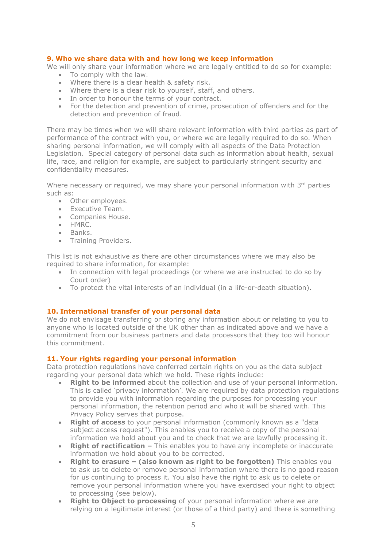#### **9. Who we share data with and how long we keep information**

We will only share your information where we are legally entitled to do so for example: • To comply with the law.

- Where there is a clear health & safety risk.
- Where there is a clear risk to yourself, staff, and others.
- In order to honour the terms of your contract.
- For the detection and prevention of crime, prosecution of offenders and for the detection and prevention of fraud.

There may be times when we will share relevant information with third parties as part of performance of the contract with you, or where we are legally required to do so. When sharing personal information, we will comply with all aspects of the Data Protection Legislation. Special category of personal data such as information about health, sexual life, race, and religion for example, are subject to particularly stringent security and confidentiality measures.

Where necessary or required, we may share your personal information with  $3<sup>rd</sup>$  parties such as:

- Other employees.
- Executive Team.
- Companies House.
- HMRC.
- Banks.
- Training Providers.

This list is not exhaustive as there are other circumstances where we may also be required to share information, for example:

- In connection with legal proceedings (or where we are instructed to do so by Court order)
- To protect the vital interests of an individual (in a life-or-death situation).

#### **10. International transfer of your personal data**

We do not envisage transferring or storing any information about or relating to you to anyone who is located outside of the UK other than as indicated above and we have a commitment from our business partners and data processors that they too will honour this commitment.

#### **11. Your rights regarding your personal information**

Data protection regulations have conferred certain rights on you as the data subject regarding your personal data which we hold. These rights include:

- **Right to be informed** about the collection and use of your personal information. This is called 'privacy information'. We are required by data protection regulations to provide you with information regarding the purposes for processing your personal information, the retention period and who it will be shared with. This Privacy Policy serves that purpose.
- **Right of access** to your personal information (commonly known as a "data subject access request"). This enables you to receive a copy of the personal information we hold about you and to check that we are lawfully processing it.
- **Right of rectification –** This enables you to have any incomplete or inaccurate information we hold about you to be corrected.
- **Right to erasure – (also known as right to be forgotten)** This enables you to ask us to delete or remove personal information where there is no good reason for us continuing to process it. You also have the right to ask us to delete or remove your personal information where you have exercised your right to object to processing (see below).
- **Right to Object to processing** of your personal information where we are relying on a legitimate interest (or those of a third party) and there is something